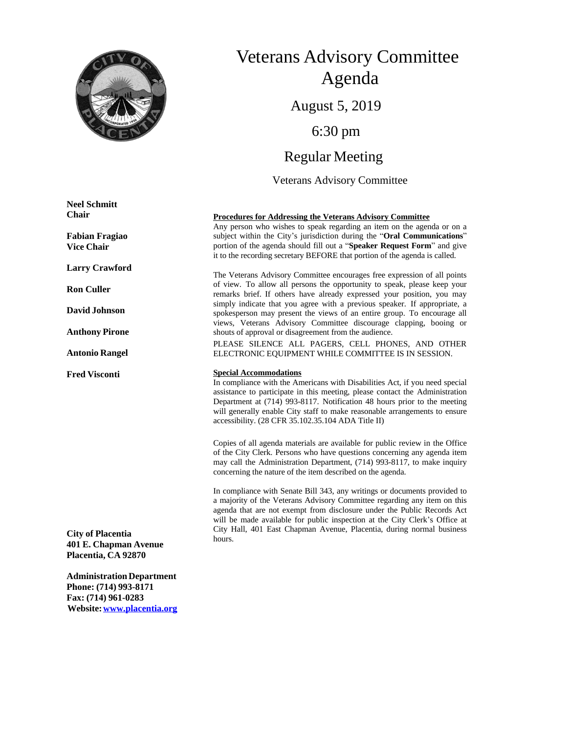

# Veterans Advisory Committee Agenda August 5, 2019 6:30 pm Regular Meeting Veterans Advisory Committee

#### **Procedures for Addressing the Veterans Advisory Committee**

Any person who wishes to speak regarding an item on the agenda or on a subject within the City's jurisdiction during the "**Oral Communications**" portion of the agenda should fill out a "**Speaker Request Form**" and give it to the recording secretary BEFORE that portion of the agenda is called.

The Veterans Advisory Committee encourages free expression of all points of view. To allow all persons the opportunity to speak, please keep your remarks brief. If others have already expressed your position, you may simply indicate that you agree with a previous speaker. If appropriate, a spokesperson may present the views of an entire group. To encourage all views, Veterans Advisory Committee discourage clapping, booing or shouts of approval or disagreement from the audience.

PLEASE SILENCE ALL PAGERS, CELL PHONES, AND OTHER ELECTRONIC EQUIPMENT WHILE COMMITTEE IS IN SESSION.

#### **Special Accommodations**

In compliance with the Americans with Disabilities Act, if you need special assistance to participate in this meeting, please contact the Administration Department at (714) 993-8117. Notification 48 hours prior to the meeting will generally enable City staff to make reasonable arrangements to ensure accessibility. (28 CFR 35.102.35.104 ADA Title II)

Copies of all agenda materials are available for public review in the Office of the City Clerk. Persons who have questions concerning any agenda item may call the Administration Department, (714) 993-8117, to make inquiry concerning the nature of the item described on the agenda.

In compliance with Senate Bill 343, any writings or documents provided to a majority of the Veterans Advisory Committee regarding any item on this agenda that are not exempt from disclosure under the Public Records Act will be made available for public inspection at the City Clerk's Office at City Hall, 401 East Chapman Avenue, Placentia, during normal business hours.

**Neel Schmitt Chair**

**Fabian Fragiao Vice Chair**

**Larry Crawford**

**Ron Culler**

**DavidJohnson**

**Anthony Pirone**

**Antonio Rangel**

**Fred Visconti**

**City of Placentia 401 E. Chapman Avenue Placentia, CA 92870**

**AdministrationDepartment Phone: (714) 993-8171 Fax: (714) 961-0283 Website:[www.placentia.org](http://www.placentia.org/)**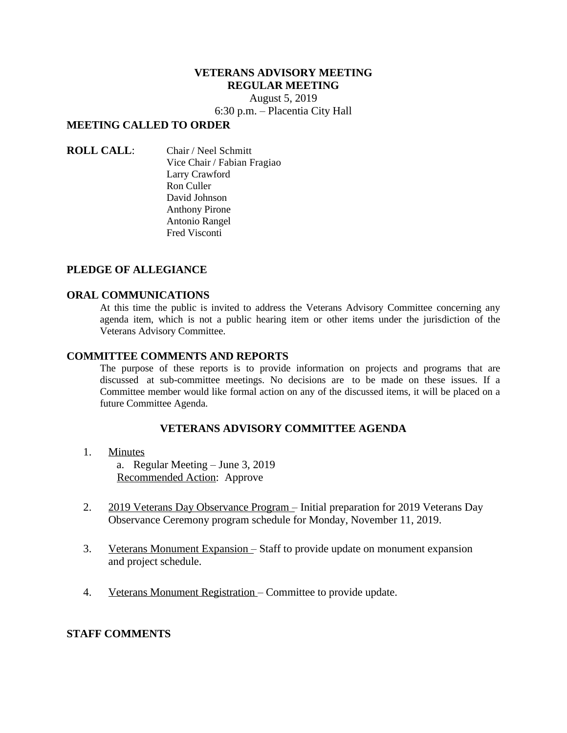# **VETERANS ADVISORY MEETING REGULAR MEETING**

August 5, 2019 6:30 p.m. – Placentia City Hall

# **MEETING CALLED TO ORDER**

**ROLL CALL**: Chair / Neel Schmitt Vice Chair / Fabian Fragiao Larry Crawford Ron Culler David Johnson Anthony Pirone Antonio Rangel Fred Visconti

# **PLEDGE OF ALLEGIANCE**

## **ORAL COMMUNICATIONS**

At this time the public is invited to address the Veterans Advisory Committee concerning any agenda item, which is not a public hearing item or other items under the jurisdiction of the Veterans Advisory Committee.

## **COMMITTEE COMMENTS AND REPORTS**

The purpose of these reports is to provide information on projects and programs that are discussed at sub-committee meetings. No decisions are to be made on these issues. If a Committee member would like formal action on any of the discussed items, it will be placed on a future Committee Agenda.

# **VETERANS ADVISORY COMMITTEE AGENDA**

## 1. Minutes

a. Regular Meeting – June 3, 2019 Recommended Action: Approve

- 2. 2019 Veterans Day Observance Program Initial preparation for 2019 Veterans Day Observance Ceremony program schedule for Monday, November 11, 2019.
- 3. Veterans Monument Expansion Staff to provide update on monument expansion and project schedule.
- 4. Veterans Monument Registration Committee to provide update.

# **STAFF COMMENTS**